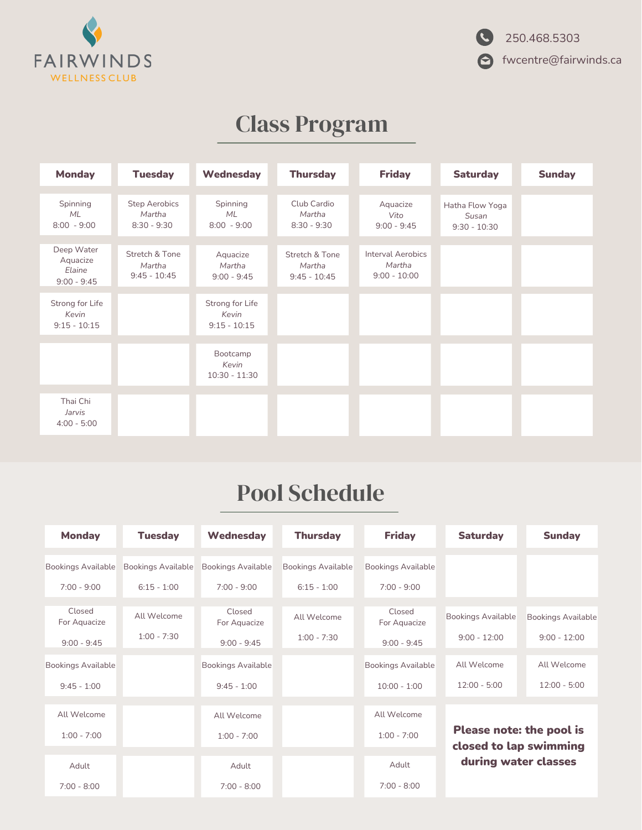

# Class Program

| <b>Monday</b>                                     | <b>Tuesday</b>                                  | Wednesday                                  | <b>Thursday</b>                            | <b>Friday</b>                                        | <b>Saturday</b>                            | <b>Sunday</b> |
|---------------------------------------------------|-------------------------------------------------|--------------------------------------------|--------------------------------------------|------------------------------------------------------|--------------------------------------------|---------------|
| Spinning<br>ML<br>$8:00 - 9:00$                   | <b>Step Aerobics</b><br>Martha<br>$8:30 - 9:30$ | Spinning<br><b>ML</b><br>$8:00 - 9:00$     | Club Cardio<br>Martha<br>$8:30 - 9:30$     | Aquacize<br>Vito<br>$9:00 - 9:45$                    | Hatha Flow Yoga<br>Susan<br>$9:30 - 10:30$ |               |
| Deep Water<br>Aquacize<br>Elaine<br>$9:00 - 9:45$ | Stretch & Tone<br>Martha<br>$9:45 - 10:45$      | Aquacize<br>Martha<br>$9:00 - 9:45$        | Stretch & Tone<br>Martha<br>$9:45 - 10:45$ | <b>Interval Aerobics</b><br>Martha<br>$9:00 - 10:00$ |                                            |               |
| Strong for Life<br>Kevin<br>$9:15 - 10:15$        |                                                 | Strong for Life<br>Kevin<br>$9:15 - 10:15$ |                                            |                                                      |                                            |               |
|                                                   |                                                 | Bootcamp<br>Kevin<br>$10:30 - 11:30$       |                                            |                                                      |                                            |               |
| Thai Chi<br>Jarvis<br>$4:00 - 5:00$               |                                                 |                                            |                                            |                                                      |                                            |               |

## Pool Schedule

| <b>Monday</b>             | <b>Tuesday</b>            | <b>Wednesday</b>          | <b>Thursday</b>           | <b>Friday</b>             | <b>Saturday</b>                                    | <b>Sunday</b>             |
|---------------------------|---------------------------|---------------------------|---------------------------|---------------------------|----------------------------------------------------|---------------------------|
| <b>Bookings Available</b> | <b>Bookings Available</b> | <b>Bookings Available</b> | <b>Bookings Available</b> | <b>Bookings Available</b> |                                                    |                           |
| $7:00 - 9:00$             | $6:15 - 1:00$             | $7:00 - 9:00$             | $6:15 - 1:00$             | $7:00 - 9:00$             |                                                    |                           |
| Closed<br>For Aquacize    | All Welcome               | Closed<br>For Aquacize    | All Welcome               | Closed<br>For Aquacize    | <b>Bookings Available</b>                          | <b>Bookings Available</b> |
| $9:00 - 9:45$             | $1:00 - 7:30$             | $9:00 - 9:45$             | $1:00 - 7:30$             | $9:00 - 9:45$             | $9:00 - 12:00$                                     | $9:00 - 12:00$            |
| <b>Bookings Available</b> |                           | <b>Bookings Available</b> |                           | <b>Bookings Available</b> | All Welcome                                        | All Welcome               |
| $9:45 - 1:00$             |                           | $9:45 - 1:00$             |                           | $10:00 - 1:00$            | $12:00 - 5:00$                                     | $12:00 - 5:00$            |
| All Welcome               |                           | All Welcome               |                           | All Welcome               |                                                    |                           |
| $1:00 - 7:00$             |                           | $1:00 - 7:00$             |                           | $1:00 - 7:00$             | Please note: the pool is<br>closed to lap swimming |                           |
| Adult                     |                           | Adult                     |                           | Adult                     | during water classes                               |                           |
| $7:00 - 8:00$             |                           | $7:00 - 8:00$             |                           | $7:00 - 8:00$             |                                                    |                           |